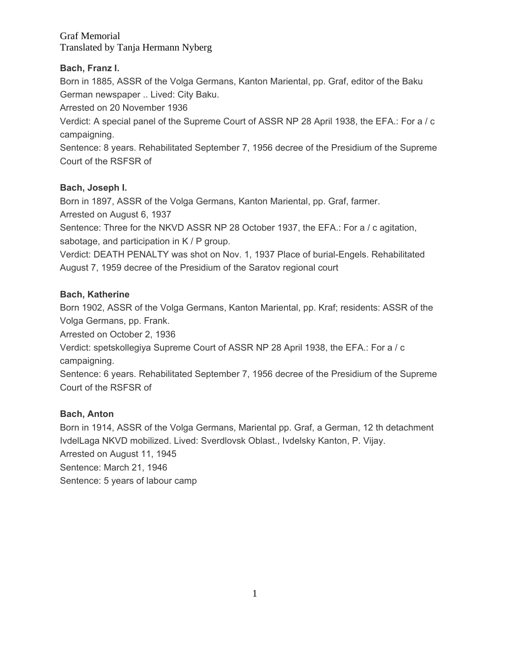## **Bach, Franz I.**

Born in 1885, ASSR of the Volga Germans, Kanton Mariental, pp. Graf, editor of the Baku German newspaper .. Lived: City Baku.

Arrested on 20 November 1936

Verdict: A special panel of the Supreme Court of ASSR NP 28 April 1938, the EFA.: For a / c campaigning.

Sentence: 8 years. Rehabilitated September 7, 1956 decree of the Presidium of the Supreme Court of the RSFSR of

### **Bach, Joseph I.**

Born in 1897, ASSR of the Volga Germans, Kanton Mariental, pp. Graf, farmer.

Arrested on August 6, 1937

Sentence: Three for the NKVD ASSR NP 28 October 1937, the EFA.: For a / c agitation, sabotage, and participation in K / P group.

Verdict: DEATH PENALTY was shot on Nov. 1, 1937 Place of burial-Engels. Rehabilitated August 7, 1959 decree of the Presidium of the Saratov regional court

### **Bach, Katherine**

Born 1902, ASSR of the Volga Germans, Kanton Mariental, pp. Kraf; residents: ASSR of the Volga Germans, pp. Frank.

Arrested on October 2, 1936

Verdict: spetskollegiya Supreme Court of ASSR NP 28 April 1938, the EFA.: For a / c campaigning.

Sentence: 6 years. Rehabilitated September 7, 1956 decree of the Presidium of the Supreme Court of the RSFSR of

## **Bach, Anton**

Born in 1914, ASSR of the Volga Germans, Mariental pp. Graf, a German, 12 th detachment IvdelLaga NKVD mobilized. Lived: Sverdlovsk Oblast., Ivdelsky Kanton, P. Vijay. Arrested on August 11, 1945 Sentence: March 21, 1946 Sentence: 5 years of labour camp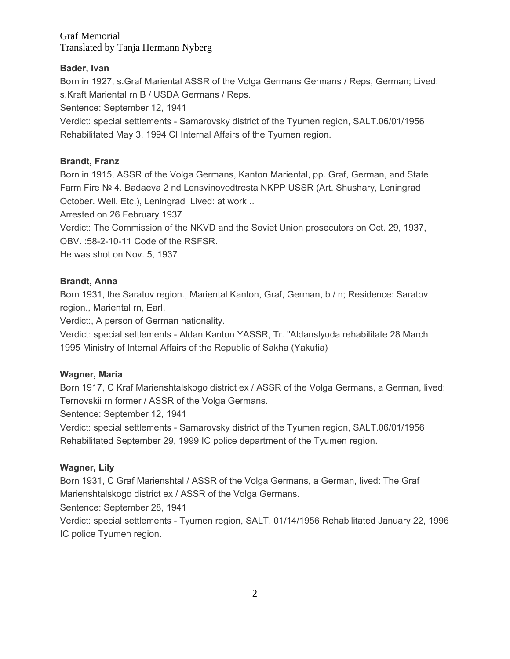### **Bader, Ivan**

Born in 1927, s.Graf Mariental ASSR of the Volga Germans Germans / Reps, German; Lived: s.Kraft Mariental rn B / USDA Germans / Reps.

Sentence: September 12, 1941

Verdict: special settlements - Samarovsky district of the Tyumen region, SALT.06/01/1956 Rehabilitated May 3, 1994 CI Internal Affairs of the Tyumen region.

## **Brandt, Franz**

Born in 1915, ASSR of the Volga Germans, Kanton Mariental, pp. Graf, German, and State Farm Fire № 4. Badaeva 2 nd Lensvinovodtresta NKPP USSR (Art. Shushary, Leningrad October. Well. Etc.), Leningrad Lived: at work ..

Arrested on 26 February 1937

Verdict: The Commission of the NKVD and the Soviet Union prosecutors on Oct. 29, 1937, OBV. :58-2-10-11 Code of the RSFSR.

He was shot on Nov. 5, 1937

### **Brandt, Anna**

Born 1931, the Saratov region., Mariental Kanton, Graf, German, b / n; Residence: Saratov region., Mariental rn, Earl.

Verdict:, A person of German nationality.

Verdict: special settlements - Aldan Kanton YASSR, Tr. "Aldanslyuda rehabilitate 28 March 1995 Ministry of Internal Affairs of the Republic of Sakha (Yakutia)

#### **Wagner, Maria**

Born 1917, C Kraf Marienshtalskogo district ex / ASSR of the Volga Germans, a German, lived: Ternovskii rn former / ASSR of the Volga Germans.

Sentence: September 12, 1941

Verdict: special settlements - Samarovsky district of the Tyumen region, SALT.06/01/1956 Rehabilitated September 29, 1999 IC police department of the Tyumen region.

## **Wagner, Lily**

Born 1931, C Graf Marienshtal / ASSR of the Volga Germans, a German, lived: The Graf Marienshtalskogo district ex / ASSR of the Volga Germans.

Sentence: September 28, 1941

Verdict: special settlements - Tyumen region, SALT. 01/14/1956 Rehabilitated January 22, 1996 IC police Tyumen region.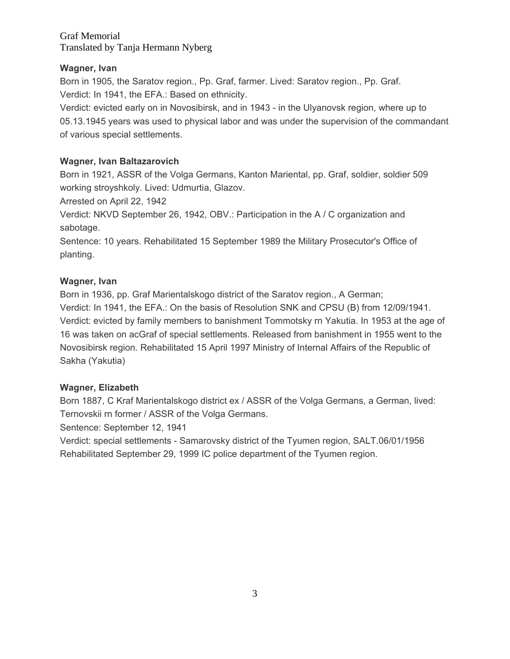## **Wagner, Ivan**

Born in 1905, the Saratov region., Pp. Graf, farmer. Lived: Saratov region., Pp. Graf. Verdict: In 1941, the EFA.: Based on ethnicity.

Verdict: evicted early on in Novosibirsk, and in 1943 - in the Ulyanovsk region, where up to 05.13.1945 years was used to physical labor and was under the supervision of the commandant of various special settlements.

## **Wagner, Ivan Baltazarovich**

Born in 1921, ASSR of the Volga Germans, Kanton Mariental, pp. Graf, soldier, soldier 509 working stroyshkoly. Lived: Udmurtia, Glazov.

Arrested on April 22, 1942

Verdict: NKVD September 26, 1942, OBV.: Participation in the A / C organization and sabotage.

Sentence: 10 years. Rehabilitated 15 September 1989 the Military Prosecutor's Office of planting.

## **Wagner, Ivan**

Born in 1936, pp. Graf Marientalskogo district of the Saratov region., A German; Verdict: In 1941, the EFA.: On the basis of Resolution SNK and CPSU (B) from 12/09/1941. Verdict: evicted by family members to banishment Tommotsky rn Yakutia. In 1953 at the age of 16 was taken on acGraf of special settlements. Released from banishment in 1955 went to the Novosibirsk region. Rehabilitated 15 April 1997 Ministry of Internal Affairs of the Republic of Sakha (Yakutia)

## **Wagner, Elizabeth**

Born 1887, C Kraf Marientalskogo district ex / ASSR of the Volga Germans, a German, lived: Ternovskii rn former / ASSR of the Volga Germans.

Sentence: September 12, 1941

Verdict: special settlements - Samarovsky district of the Tyumen region, SALT.06/01/1956 Rehabilitated September 29, 1999 IC police department of the Tyumen region.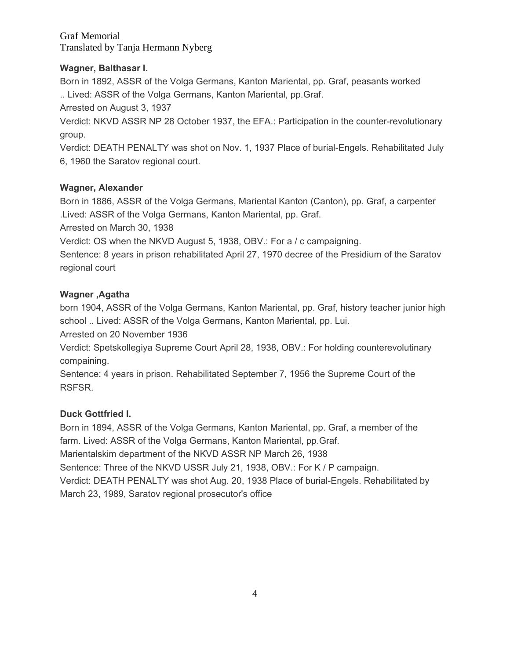## **Wagner, Balthasar I.**

Born in 1892, ASSR of the Volga Germans, Kanton Mariental, pp. Graf, peasants worked .. Lived: ASSR of the Volga Germans, Kanton Mariental, pp.Graf.

Arrested on August 3, 1937

Verdict: NKVD ASSR NP 28 October 1937, the EFA.: Participation in the counter-revolutionary group.

Verdict: DEATH PENALTY was shot on Nov. 1, 1937 Place of burial-Engels. Rehabilitated July 6, 1960 the Saratov regional court.

# **Wagner, Alexander**

Born in 1886, ASSR of the Volga Germans, Mariental Kanton (Canton), pp. Graf, a carpenter .Lived: ASSR of the Volga Germans, Kanton Mariental, pp. Graf.

Arrested on March 30, 1938

Verdict: OS when the NKVD August 5, 1938, OBV.: For a / c campaigning.

Sentence: 8 years in prison rehabilitated April 27, 1970 decree of the Presidium of the Saratov regional court

# **Wagner ,Agatha**

born 1904, ASSR of the Volga Germans, Kanton Mariental, pp. Graf, history teacher junior high school .. Lived: ASSR of the Volga Germans, Kanton Mariental, pp. Lui.

Arrested on 20 November 1936

Verdict: Spetskollegiya Supreme Court April 28, 1938, OBV.: For holding counterevolutinary compaining.

Sentence: 4 years in prison. Rehabilitated September 7, 1956 the Supreme Court of the RSFSR.

# **Duck Gottfried I.**

Born in 1894, ASSR of the Volga Germans, Kanton Mariental, pp. Graf, a member of the farm. Lived: ASSR of the Volga Germans, Kanton Mariental, pp.Graf. Marientalskim department of the NKVD ASSR NP March 26, 1938 Sentence: Three of the NKVD USSR July 21, 1938, OBV.: For K / P campaign.

Verdict: DEATH PENALTY was shot Aug. 20, 1938 Place of burial-Engels. Rehabilitated by March 23, 1989, Saratov regional prosecutor's office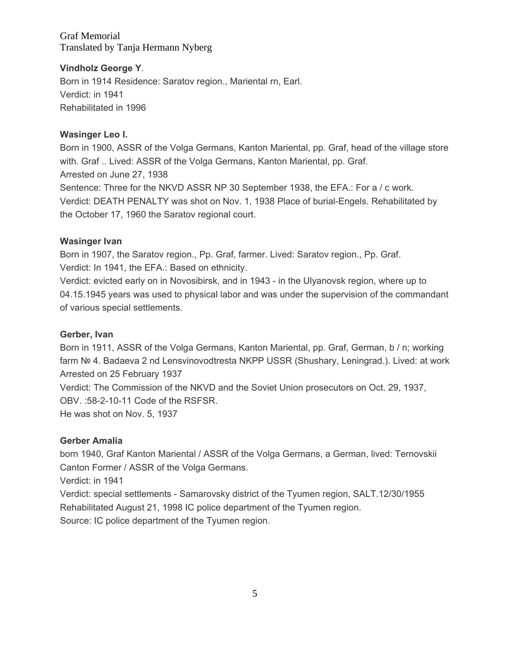### **Vindholz George Y**.

Born in 1914 Residence: Saratov region., Mariental rn, Earl. Verdict: in 1941 Rehabilitated in 1996

#### **Wasinger Leo I.**

Born in 1900, ASSR of the Volga Germans, Kanton Mariental, pp. Graf, head of the village store with. Graf .. Lived: ASSR of the Volga Germans, Kanton Mariental, pp. Graf. Arrested on June 27, 1938 Sentence: Three for the NKVD ASSR NP 30 September 1938, the EFA.: For a / c work. Verdict: DEATH PENALTY was shot on Nov. 1, 1938 Place of burial-Engels. Rehabilitated by the October 17, 1960 the Saratov regional court.

#### **Wasinger Ivan**

Born in 1907, the Saratov region., Pp. Graf, farmer. Lived: Saratov region., Pp. Graf. Verdict: In 1941, the EFA.: Based on ethnicity.

Verdict: evicted early on in Novosibirsk, and in 1943 - in the Ulyanovsk region, where up to 04.15.1945 years was used to physical labor and was under the supervision of the commandant of various special settlements.

#### **Gerber, Ivan**

Born in 1911, ASSR of the Volga Germans, Kanton Mariental, pp. Graf, German, b / n; working farm № 4. Badaeva 2 nd Lensvinovodtresta NKPP USSR (Shushary, Leningrad.). Lived: at work Arrested on 25 February 1937 Verdict: The Commission of the NKVD and the Soviet Union prosecutors on Oct. 29, 1937, OBV. :58-2-10-11 Code of the RSFSR.

He was shot on Nov. 5, 1937

#### **Gerber Amalia**

born 1940, Graf Kanton Mariental / ASSR of the Volga Germans, a German, lived: Ternovskii Canton Former / ASSR of the Volga Germans.

Verdict: in 1941

Verdict: special settlements - Samarovsky district of the Tyumen region, SALT.12/30/1955 Rehabilitated August 21, 1998 IC police department of the Tyumen region. Source: IC police department of the Tyumen region.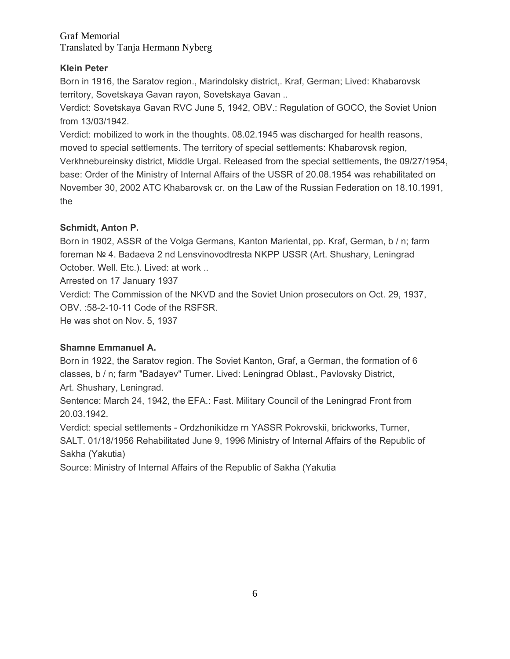## **Klein Peter**

Born in 1916, the Saratov region., Marindolsky district,. Kraf, German; Lived: Khabarovsk territory, Sovetskaya Gavan rayon, Sovetskaya Gavan ..

Verdict: Sovetskaya Gavan RVC June 5, 1942, OBV.: Regulation of GOCO, the Soviet Union from 13/03/1942.

Verdict: mobilized to work in the thoughts. 08.02.1945 was discharged for health reasons, moved to special settlements. The territory of special settlements: Khabarovsk region, Verkhnebureinsky district, Middle Urgal. Released from the special settlements, the 09/27/1954, base: Order of the Ministry of Internal Affairs of the USSR of 20.08.1954 was rehabilitated on November 30, 2002 ATC Khabarovsk cr. on the Law of the Russian Federation on 18.10.1991, the

## **Schmidt, Anton P.**

Born in 1902, ASSR of the Volga Germans, Kanton Mariental, pp. Kraf, German, b / n; farm foreman № 4. Badaeva 2 nd Lensvinovodtresta NKPP USSR (Art. Shushary, Leningrad October. Well. Etc.). Lived: at work ..

Arrested on 17 January 1937

Verdict: The Commission of the NKVD and the Soviet Union prosecutors on Oct. 29, 1937, OBV. :58-2-10-11 Code of the RSFSR.

He was shot on Nov. 5, 1937

# **Shamne Emmanuel A.**

Born in 1922, the Saratov region. The Soviet Kanton, Graf, a German, the formation of 6 classes, b / n; farm "Badayev" Turner. Lived: Leningrad Oblast., Pavlovsky District, Art. Shushary, Leningrad.

Sentence: March 24, 1942, the EFA.: Fast. Military Council of the Leningrad Front from 20.03.1942.

Verdict: special settlements - Ordzhonikidze rn YASSR Pokrovskii, brickworks, Turner, SALT. 01/18/1956 Rehabilitated June 9, 1996 Ministry of Internal Affairs of the Republic of Sakha (Yakutia)

Source: Ministry of Internal Affairs of the Republic of Sakha (Yakutia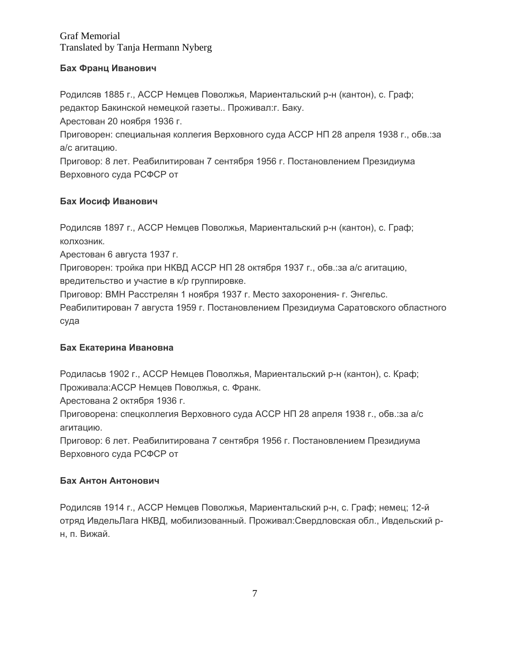### **Бах Франц Иванович**

Родилсяв 1885 г., АССР Немцев Поволжья, Мариентальский р-н (кантон), с. Граф; редактор Бакинской немецкой газеты.. Проживал:г. Баку.

Арестован 20 ноября 1936 г.

Приговорен: специальная коллегия Верховного суда АССР НП 28 апреля 1938 г., обв.:за а/с агитацию.

Приговор: 8 лет. Реабилитирован 7 сентября 1956 г. Постановлением Президиума Верховного суда РСФСР от

## **Бах Иосиф Иванович**

Родилсяв 1897 г., АССР Немцев Поволжья, Мариентальский р-н (кантон), с. Граф; колхозник.

Арестован 6 августа 1937 г.

Приговорен: тройка при НКВД АССР НП 28 октября 1937 г., обв.:за а/с агитацию, вредительство и участие в к/р группировке.

Приговор: ВМН Расстрелян 1 ноября 1937 г. Место захоронения- г. Энгельс.

Реабилитирован 7 августа 1959 г. Постановлением Президиума Саратовского областного суда

#### **Бах Екатерина Ивановна**

Родиласьв 1902 г., АССР Немцев Поволжья, Мариентальский р-н (кантон), с. Краф; Проживала:АССР Немцев Поволжья, с. Франк.

Арестована 2 октября 1936 г.

Приговорена: спецколлегия Верховного суда АССР НП 28 апреля 1938 г., обв.:за а/с агитацию.

Приговор: 6 лет. Реабилитирована 7 сентября 1956 г. Постановлением Президиума Верховного суда РСФСР от

#### **Бах Антон Антонович**

Родилсяв 1914 г., АССР Немцев Поволжья, Мариентальский р-н, с. Граф; немец; 12-й отряд ИвдельЛага НКВД, мобилизованный. Проживал:Свердловская обл., Ивдельский рн, п. Вижай.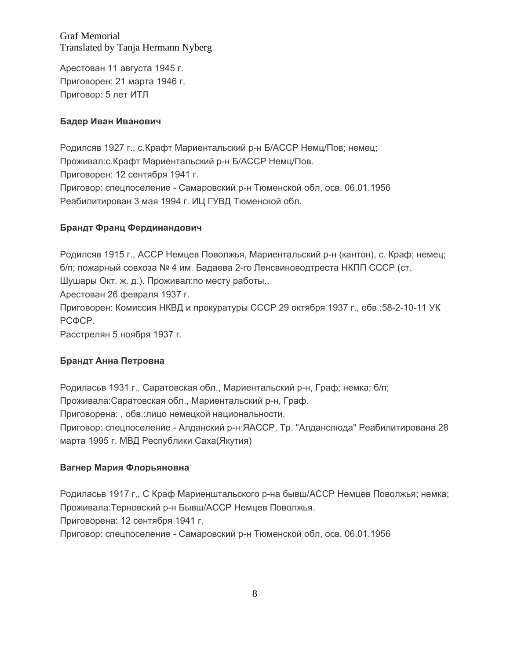Арестован 11 августа 1945 г. Приговорен: 21 марта 1946 г. Приговор: 5 лет ИТЛ

### **Бадер Иван Иванович**

Родилсяв 1927 г., с.Крафт Мариентальский р-н Б/АССР Немц/Пов; немец; Проживал:с.Крафт Мариентальский р-н Б/АССР Немц/Пов. Приговорен: 12 сентября 1941 г. Приговор: спецпоселение - Самаровский р-н Тюменской обл, осв. 06.01.1956 Реабилитирован 3 мая 1994 г. ИЦ ГУВД Тюменской обл.

#### **Брандт Франц Фердинандович**

Родилсяв 1915 г., АССР Немцев Поволжья, Мариентальский р-н (кантон), с. Краф; немец; б/п; пожарный совхоза № 4 им. Бадаева 2-го Ленсвиноводтреста НКПП СССР (ст. Шушары Окт. ж. д.). Проживал:по месту работы..

Арестован 26 февраля 1937 г.

Приговорен: Комиссия НКВД и прокуратуры СССР 29 октября 1937 г., обв.:58-2-10-11 УК РСФСР.

Расстрелян 5 ноября 1937 г.

## **Брандт Анна Петровна**

Родиласьв 1931 г., Саратовская обл., Мариентальский р-н, Граф; немка; б/п; Проживала:Саратовская обл., Мариентальский р-н, Граф. Приговорена: , обв.:лицо немецкой национальности. Приговор: спецпоселение - Алданский р-н ЯАССР, Тр. "Алданслюда" Реабилитирована 28 марта 1995 г. МВД Республики Саха(Якутия)

#### **Вагнер Мария Флорьяновна**

Родиласьв 1917 г., С Краф Мариенштальского р-на бывш/АССР Немцев Поволжья; немка; Проживала:Терновский р-н Бывш/АССР Немцев Поволжья. Приговорена: 12 сентября 1941 г. Приговор: спецпоселение - Самаровский р-н Тюменской обл, осв. 06.01.1956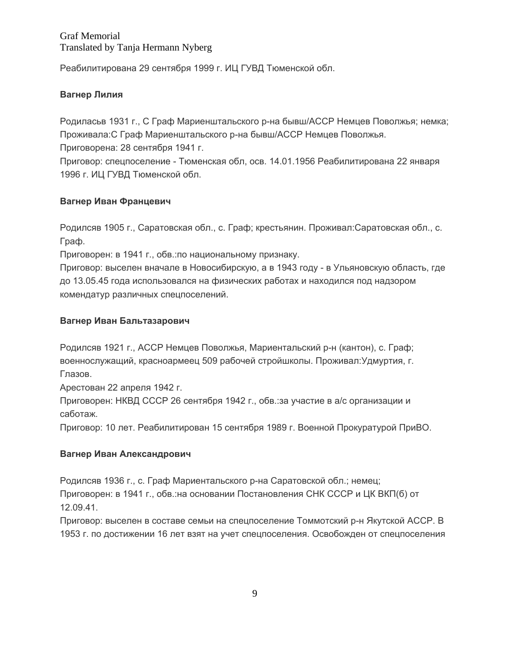Реабилитирована 29 сентября 1999 г. ИЦ ГУВД Тюменской обл.

### **Вагнер Лилия**

Родиласьв 1931 г., С Граф Мариенштальского р-на бывш/АССР Немцев Поволжья; немка; Проживала:С Граф Мариенштальского р-на бывш/АССР Немцев Поволжья. Приговорена: 28 сентября 1941 г.

Приговор: спецпоселение - Тюменская обл, осв. 14.01.1956 Реабилитирована 22 января 1996 г. ИЦ ГУВД Тюменской обл.

### **Вагнер Иван Францевич**

Родилсяв 1905 г., Саратовская обл., с. Граф; крестьянин. Проживал:Саратовская обл., с. Граф.

Приговорен: в 1941 г., обв.:по национальному признаку.

Приговор: выселен вначале в Новосибирскую, а в 1943 году - в Ульяновскую область, где до 13.05.45 года использовался на физических работах и находился под надзором комендатур различных спецпоселений.

### **Вагнер Иван Бальтазарович**

Родилсяв 1921 г., АССР Немцев Поволжья, Мариентальский р-н (кантон), с. Граф; военнослужащий, красноармеец 509 рабочей стройшколы. Проживал:Удмуртия, г. Глазов.

Арестован 22 апреля 1942 г.

Приговорен: НКВД СССР 26 сентября 1942 г., обв.:за участие в а/с организации и саботаж.

Приговор: 10 лет. Реабилитирован 15 сентября 1989 г. Военной Прокуратурой ПриВО.

#### **Вагнер Иван Александрович**

Родилсяв 1936 г., с. Граф Мариентальского р-на Саратовской обл.; немец;

Приговорен: в 1941 г., обв.:на основании Постановления СНК СССР и ЦК ВКП(б) от 12.09.41.

Приговор: выселен в составе семьи на спецпоселение Томмотский р-н Якутской АССР. В 1953 г. по достижении 16 лет взят на учет спецпоселения. Освобожден от спецпоселения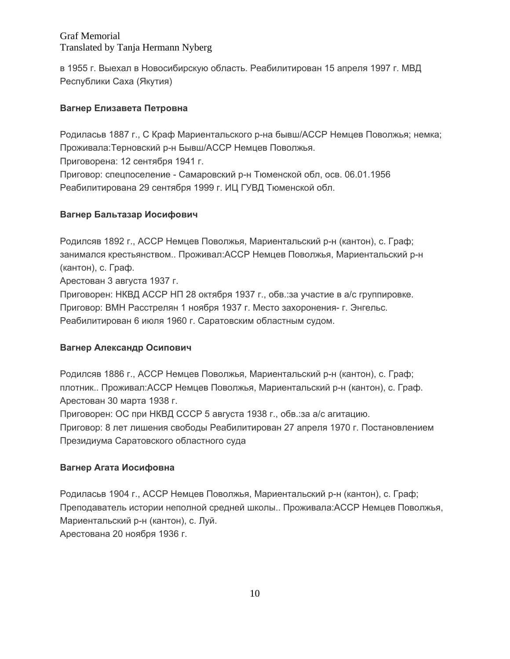в 1955 г. Выехал в Новосибирскую область. Реабилитирован 15 апреля 1997 г. МВД Республики Саха (Якутия)

## **Вагнер Елизавета Петровна**

Родиласьв 1887 г., С Краф Мариентальского р-на бывш/АССР Немцев Поволжья; немка; Проживала:Терновский р-н Бывш/АССР Немцев Поволжья.

Приговорена: 12 сентября 1941 г.

Приговор: спецпоселение - Самаровский р-н Тюменской обл, осв. 06.01.1956 Реабилитирована 29 сентября 1999 г. ИЦ ГУВД Тюменской обл.

# **Вагнер Бальтазар Иосифович**

Родилсяв 1892 г., АССР Немцев Поволжья, Мариентальский р-н (кантон), с. Граф; занимался крестьянством.. Проживал:АССР Немцев Поволжья, Мариентальский р-н (кантон), с. Граф.

Арестован 3 августа 1937 г.

Приговорен: НКВД АССР НП 28 октября 1937 г., обв.:за участие в а/с группировке. Приговор: ВМН Расстрелян 1 ноября 1937 г. Место захоронения- г. Энгельс. Реабилитирован 6 июля 1960 г. Саратовским областным судом.

## **Вагнер Александр Осипович**

Родилсяв 1886 г., АССР Немцев Поволжья, Мариентальский р-н (кантон), с. Граф; плотник.. Проживал:АССР Немцев Поволжья, Мариентальский р-н (кантон), с. Граф. Арестован 30 марта 1938 г.

Приговорен: ОС при НКВД СССР 5 августа 1938 г., обв.:за а/с агитацию.

Приговор: 8 лет лишения свободы Реабилитирован 27 апреля 1970 г. Постановлением Президиума Саратовского областного суда

## **Вагнер Агата Иосифовна**

Родиласьв 1904 г., АССР Немцев Поволжья, Мариентальский р-н (кантон), с. Граф; Преподаватель истории неполной средней школы.. Проживала:АССР Немцев Поволжья, Мариентальский р-н (кантон), с. Луй. Арестована 20 ноября 1936 г.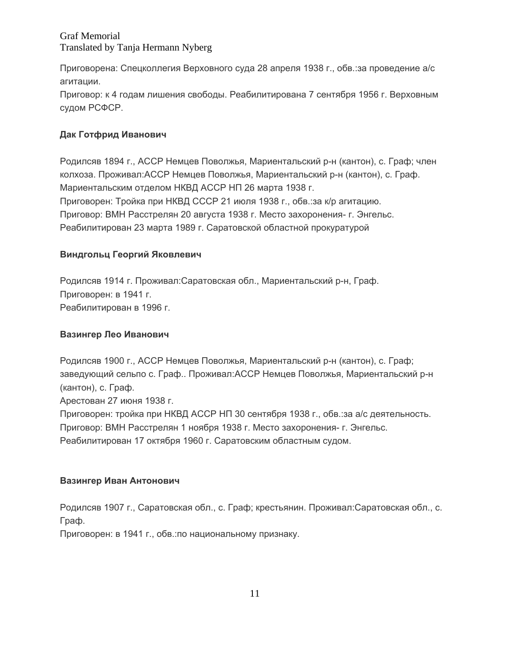Приговорена: Спецколлегия Верховного суда 28 апреля 1938 г., обв.:за проведение а/с агитации.

Приговор: к 4 годам лишения свободы. Реабилитирована 7 сентября 1956 г. Верховным судом РСФСР.

## **Дак Готфрид Иванович**

Родилсяв 1894 г., АССР Немцев Поволжья, Мариентальский р-н (кантон), с. Граф; член колхоза. Проживал:АССР Немцев Поволжья, Мариентальский р-н (кантон), с. Граф. Мариентальским отделом НКВД АССР НП 26 марта 1938 г. Приговорен: Тройка при НКВД СССР 21 июля 1938 г., обв.:за к/р агитацию. Приговор: ВМН Расстрелян 20 августа 1938 г. Место захоронения- г. Энгельс. Реабилитирован 23 марта 1989 г. Саратовской областной прокуратурой

## **Виндгольц Георгий Яковлевич**

Родилсяв 1914 г. Проживал:Саратовская обл., Мариентальский р-н, Граф. Приговорен: в 1941 г. Реабилитирован в 1996 г.

### **Вазингер Лео Иванович**

Родилсяв 1900 г., АССР Немцев Поволжья, Мариентальский р-н (кантон), с. Граф; заведующий сельпо с. Граф.. Проживал:АССР Немцев Поволжья, Мариентальский р-н (кантон), с. Граф.

Арестован 27 июня 1938 г.

Приговорен: тройка при НКВД АССР НП 30 сентября 1938 г., обв.:за а/с деятельность. Приговор: ВМН Расстрелян 1 ноября 1938 г. Место захоронения- г. Энгельс. Реабилитирован 17 октября 1960 г. Саратовским областным судом.

#### **Вазингер Иван Антонович**

Родилсяв 1907 г., Саратовская обл., с. Граф; крестьянин. Проживал:Саратовская обл., с. Граф.

Приговорен: в 1941 г., обв.:по национальному признаку.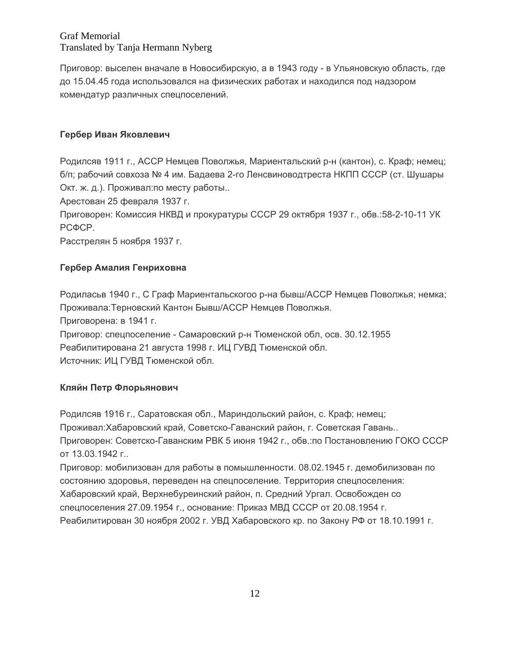Приговор: выселен вначале в Новосибирскую, а в 1943 году - в Ульяновскую область, где до 15.04.45 года использовался на физических работах и находился под надзором комендатур различных спецпоселений.

## **Гербер Иван Яковлевич**

Родилсяв 1911 г., АССР Немцев Поволжья, Мариентальский р-н (кантон), с. Краф; немец; б/п; рабочий совхоза № 4 им. Бадаева 2-го Ленсвиноводтреста НКПП СССР (ст. Шушары Окт. ж. д.). Проживал:по месту работы..

Арестован 25 февраля 1937 г.

Приговорен: Комиссия НКВД и прокуратуры СССР 29 октября 1937 г., обв.:58-2-10-11 УК РСФСР.

Расстрелян 5 ноября 1937 г.

# **Гербер Амалия Генриховна**

Родиласьв 1940 г., С Граф Мариентальскогоо р-на бывш/АССР Немцев Поволжья; немка; Проживала:Терновский Кантон Бывш/АССР Немцев Поволжья. Приговорена: в 1941 г. Приговор: спецпоселение - Самаровский р-н Тюменской обл, осв. 30.12.1955 Реабилитирована 21 августа 1998 г. ИЦ ГУВД Тюменской обл.

Источник: ИЦ ГУВД Тюменской обл.

## **Кляйн Петр Флорьянович**

Родилсяв 1916 г., Саратовская обл., Мариндольский район, с. Краф; немец; Проживал:Хабаровский край, Советско-Гаванский район, г. Советская Гавань.. Приговорен: Советско-Гаванским РВК 5 июня 1942 г., обв.:по Постановлению ГОКО СССР от 13.03.1942 г..

Приговор: мобилизован для работы в помышленности. 08.02.1945 г. демобилизован по состоянию здоровья, переведен на спецпоселение. Территория спецпоселения: Хабаровский край, Верхнебуреинский район, п. Средний Ургал. Освобожден со спецпоселения 27.09.1954 г., основание: Приказ МВД СССР от 20.08.1954 г. Реабилитирован 30 ноября 2002 г. УВД Хабаровского кр. по Закону РФ от 18.10.1991 г.